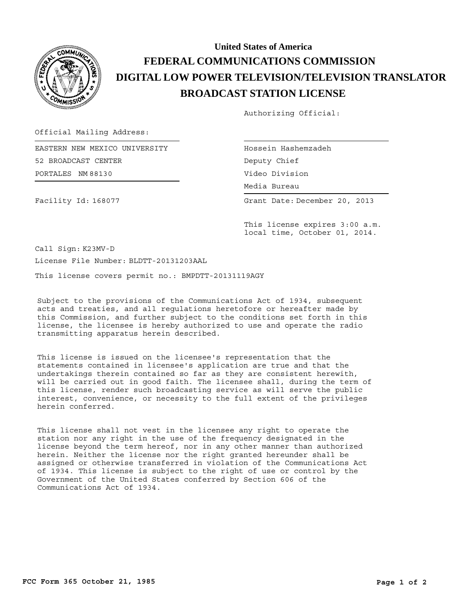

## **BROADCAST STATION LICENSE DIGITAL LOW POWER TELEVISION/TELEVISION TRANSLATOR FEDERAL COMMUNICATIONS COMMISSION United States of America**

Authorizing Official:

Official Mailing Address:

PORTALES NM 88130 EASTERN NEW MEXICO UNIVERSITY 52 BROADCAST CENTER

Hossein Hashemzadeh Media Bureau Media Bureau Deputy Chief Video Division

Grant Date: December 20, 2013

Facility Id: 168077

This license expires 3:00 a.m. local time, October 01, 2014.

Call Sign: K23MV-D License File Number: BLDTT-20131203AAL

This license covers permit no.: BMPDTT-20131119AGY

Subject to the provisions of the Communications Act of 1934, subsequent acts and treaties, and all regulations heretofore or hereafter made by this Commission, and further subject to the conditions set forth in this license, the licensee is hereby authorized to use and operate the radio transmitting apparatus herein described.

This license is issued on the licensee's representation that the statements contained in licensee's application are true and that the undertakings therein contained so far as they are consistent herewith, will be carried out in good faith. The licensee shall, during the term of this license, render such broadcasting service as will serve the public interest, convenience, or necessity to the full extent of the privileges herein conferred.

This license shall not vest in the licensee any right to operate the station nor any right in the use of the frequency designated in the license beyond the term hereof, nor in any other manner than authorized herein. Neither the license nor the right granted hereunder shall be assigned or otherwise transferred in violation of the Communications Act of 1934. This license is subject to the right of use or control by the Government of the United States conferred by Section 606 of the Communications Act of 1934.